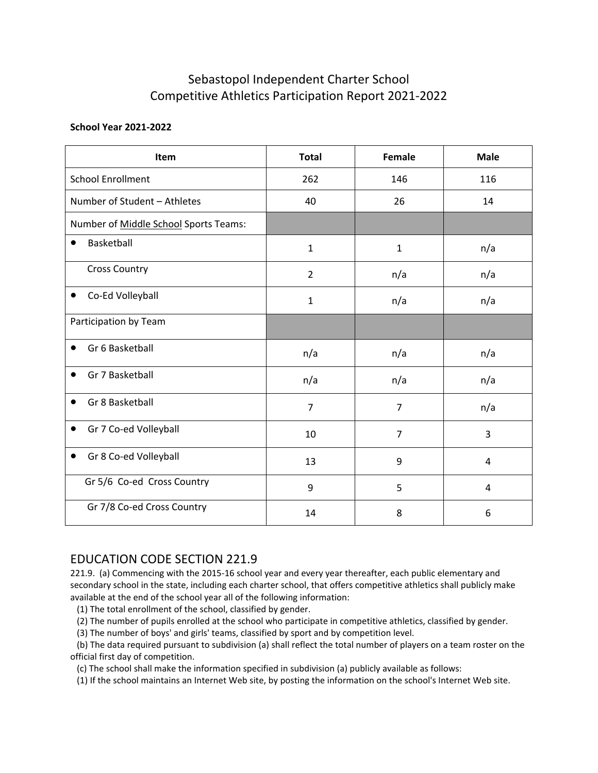## Sebastopol Independent Charter School Competitive Athletics Participation Report 2021-2022

## **School Year 2021-2022**

| Item                                                                                                                                                                                                                                                                                                                                                                                                                                                                                                                                                                                                                                                                                                                                                                                                                                                                                                     | <b>Total</b>   | Female         | <b>Male</b> |
|----------------------------------------------------------------------------------------------------------------------------------------------------------------------------------------------------------------------------------------------------------------------------------------------------------------------------------------------------------------------------------------------------------------------------------------------------------------------------------------------------------------------------------------------------------------------------------------------------------------------------------------------------------------------------------------------------------------------------------------------------------------------------------------------------------------------------------------------------------------------------------------------------------|----------------|----------------|-------------|
| <b>School Enrollment</b>                                                                                                                                                                                                                                                                                                                                                                                                                                                                                                                                                                                                                                                                                                                                                                                                                                                                                 | 262            | 146            | 116         |
| Number of Student - Athletes                                                                                                                                                                                                                                                                                                                                                                                                                                                                                                                                                                                                                                                                                                                                                                                                                                                                             | 40             | 26             | 14          |
| Number of Middle School Sports Teams:                                                                                                                                                                                                                                                                                                                                                                                                                                                                                                                                                                                                                                                                                                                                                                                                                                                                    |                |                |             |
| Basketball<br>$\bullet$                                                                                                                                                                                                                                                                                                                                                                                                                                                                                                                                                                                                                                                                                                                                                                                                                                                                                  | $\mathbf{1}$   | $\mathbf{1}$   | n/a         |
| <b>Cross Country</b>                                                                                                                                                                                                                                                                                                                                                                                                                                                                                                                                                                                                                                                                                                                                                                                                                                                                                     | $\overline{2}$ | n/a            | n/a         |
| Co-Ed Volleyball                                                                                                                                                                                                                                                                                                                                                                                                                                                                                                                                                                                                                                                                                                                                                                                                                                                                                         | $\mathbf{1}$   | n/a            | n/a         |
| Participation by Team                                                                                                                                                                                                                                                                                                                                                                                                                                                                                                                                                                                                                                                                                                                                                                                                                                                                                    |                |                |             |
| Gr 6 Basketball                                                                                                                                                                                                                                                                                                                                                                                                                                                                                                                                                                                                                                                                                                                                                                                                                                                                                          | n/a            | n/a            | n/a         |
| Gr 7 Basketball                                                                                                                                                                                                                                                                                                                                                                                                                                                                                                                                                                                                                                                                                                                                                                                                                                                                                          | n/a            | n/a            | n/a         |
| Gr 8 Basketball                                                                                                                                                                                                                                                                                                                                                                                                                                                                                                                                                                                                                                                                                                                                                                                                                                                                                          | $\overline{7}$ | $\overline{7}$ | n/a         |
| Gr 7 Co-ed Volleyball<br>$\bullet$                                                                                                                                                                                                                                                                                                                                                                                                                                                                                                                                                                                                                                                                                                                                                                                                                                                                       | 10             | $\overline{7}$ | 3           |
| Gr 8 Co-ed Volleyball                                                                                                                                                                                                                                                                                                                                                                                                                                                                                                                                                                                                                                                                                                                                                                                                                                                                                    | 13             | 9              | 4           |
| Gr 5/6 Co-ed Cross Country                                                                                                                                                                                                                                                                                                                                                                                                                                                                                                                                                                                                                                                                                                                                                                                                                                                                               | 9              | 5              | 4           |
| Gr 7/8 Co-ed Cross Country                                                                                                                                                                                                                                                                                                                                                                                                                                                                                                                                                                                                                                                                                                                                                                                                                                                                               | 14             | 8              | 6           |
| <b>EDUCATION CODE SECTION 221.9</b><br>221.9. (a) Commencing with the 2015-16 school year and every year thereafter, each public elementary and<br>secondary school in the state, including each charter school, that offers competitive athletics shall publicly make<br>available at the end of the school year all of the following information:<br>(1) The total enrollment of the school, classified by gender.<br>(2) The number of pupils enrolled at the school who participate in competitive athletics, classified by gender.<br>(3) The number of boys' and girls' teams, classified by sport and by competition level.<br>(b) The data required pursuant to subdivision (a) shall reflect the total number of players on a team roster on the<br>official first day of competition.<br>(c) The school shall make the information specified in subdivision (a) publicly available as follows: |                |                |             |

## EDUCATION CODE SECTION 221.9

221.9. (a) Commencing with the 2015-16 school year and every year thereafter, each public elementary and secondary school in the state, including each charter school, that offers competitive athletics shall publicly make available at the end of the school year all of the following information: Gr 7/8 Co-ed Cross Country<br>
14 8<br>
DUCATION CODE SECTION 221.9<br>
21.9. (a) Commencing with the 2015-16 school year and every year thereafter, each public eleme<br>
econdary school in the state, including each charter school, th (b) The data required pursuant to subdivision (a) shall reflect the total number of players on a team roster on the DUCATION CODE SECTION 221.9<br>21.9. (a) Commencing with the 2015-16 school year and every year thereafter, each public elementary and<br>condary school in the state, including each charter school, that offers competitive athlet DUCATION CODE SECTION 221.9<br>21.9. (a) Commencing with the 2015-16 school year and every year thereafter, each public elementary and<br>condary school in the state, including each charter school, that offers competitive athlet